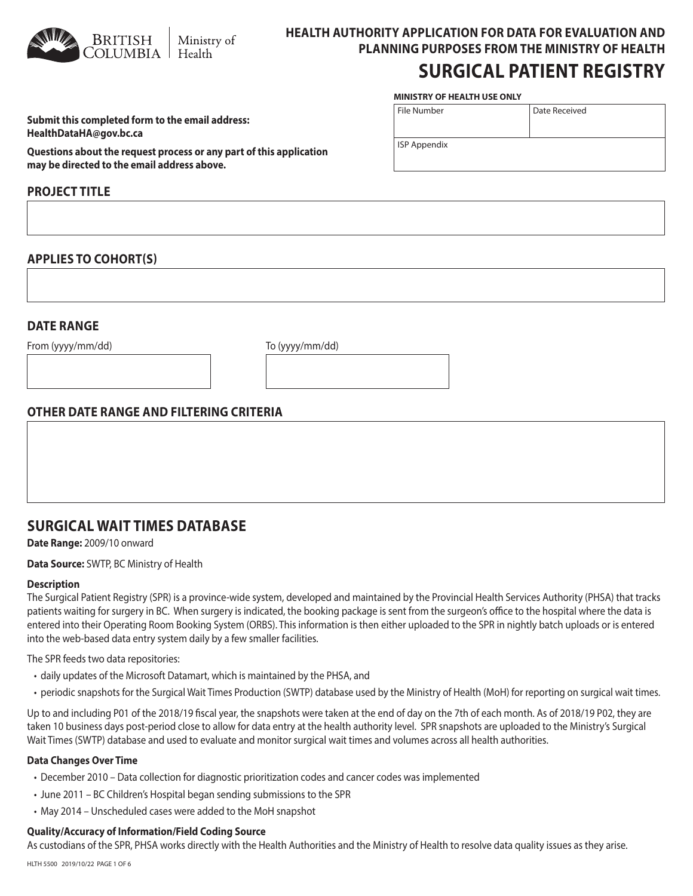

# **HEALTH AUTHORITY APPLICATION FOR DATA FOR EVALUATION AND PLANNING PURPOSES FROM THE MINISTRY OF HEALTH**

## **SURGICAL PATIENT REGISTRY**

Date Received

### **MINISTRY OF HEALTH USE ONLY**

File Number

ISP Appendix

| Submit this completed form to the email address: |
|--------------------------------------------------|
| HealthDataHA@gov.bc.ca                           |

**Questions about the request process or any part of this application may be directed to the email address above.**

## **PROJECT TITLE**

## **APPLIES TO COHORT(S)**

## **DATE RANGE**

From (yyyy/mm/dd) To (yyyy/mm/dd)

## **OTHER DATE RANGE AND FILTERING CRITERIA**

## **SURGICAL WAIT TIMES DATABASE**

### **Date Range:** 2009/10 onward

**Data Source:** SWTP, BC Ministry of Health

### **Description**

The Surgical Patient Registry (SPR) is a province-wide system, developed and maintained by the Provincial Health Services Authority (PHSA) that tracks patients waiting for surgery in BC. When surgery is indicated, the booking package is sent from the surgeon's office to the hospital where the data is entered into their Operating Room Booking System (ORBS). This information is then either uploaded to the SPR in nightly batch uploads or is entered into the web-based data entry system daily by a few smaller facilities.

The SPR feeds two data repositories:

- daily updates of the Microsoft Datamart, which is maintained by the PHSA, and
- periodic snapshots for the Surgical Wait Times Production (SWTP) database used by the Ministry of Health (MoH) for reporting on surgical wait times.

Up to and including P01 of the 2018/19 fiscal year, the snapshots were taken at the end of day on the 7th of each month. As of 2018/19 P02, they are taken 10 business days post-period close to allow for data entry at the health authority level. SPR snapshots are uploaded to the Ministry's Surgical Wait Times (SWTP) database and used to evaluate and monitor surgical wait times and volumes across all health authorities.

### **Data Changes Over Time**

- December 2010 Data collection for diagnostic prioritization codes and cancer codes was implemented
- June 2011 BC Children's Hospital began sending submissions to the SPR
- May 2014 Unscheduled cases were added to the MoH snapshot

### **Quality/Accuracy of Information/Field Coding Source**

As custodians of the SPR, PHSA works directly with the Health Authorities and the Ministry of Health to resolve data quality issues as they arise.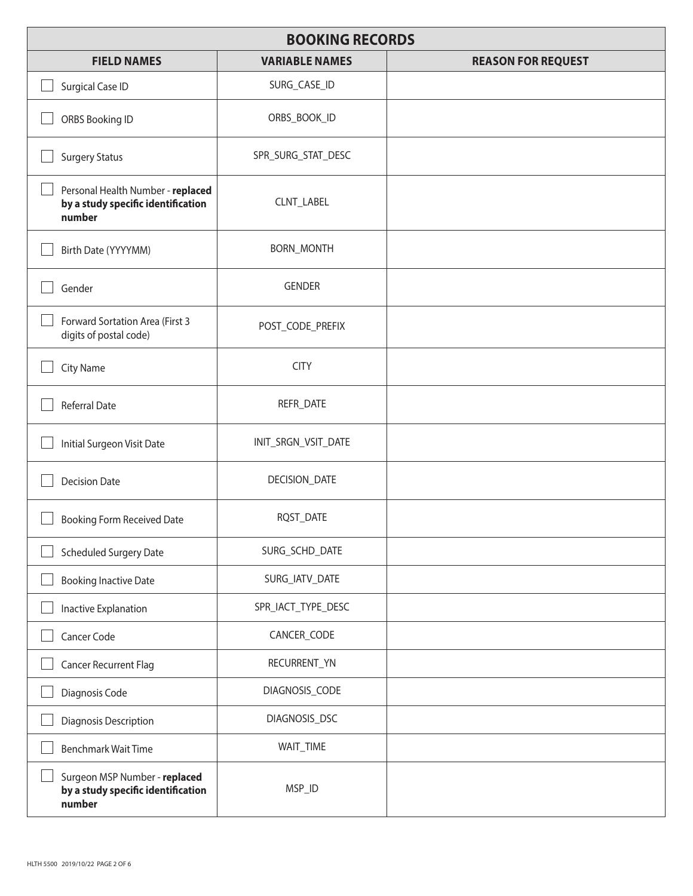| <b>BOOKING RECORDS</b>                                                            |                       |                           |
|-----------------------------------------------------------------------------------|-----------------------|---------------------------|
| <b>FIELD NAMES</b>                                                                | <b>VARIABLE NAMES</b> | <b>REASON FOR REQUEST</b> |
| Surgical Case ID                                                                  | SURG_CASE_ID          |                           |
| ORBS Booking ID                                                                   | ORBS_BOOK_ID          |                           |
| <b>Surgery Status</b>                                                             | SPR_SURG_STAT_DESC    |                           |
| Personal Health Number - replaced<br>by a study specific identification<br>number | CLNT_LABEL            |                           |
| Birth Date (YYYYMM)                                                               | <b>BORN_MONTH</b>     |                           |
| Gender                                                                            | <b>GENDER</b>         |                           |
| Forward Sortation Area (First 3<br>digits of postal code)                         | POST_CODE_PREFIX      |                           |
| City Name                                                                         | <b>CITY</b>           |                           |
| <b>Referral Date</b>                                                              | REFR_DATE             |                           |
| Initial Surgeon Visit Date                                                        | INIT_SRGN_VSIT_DATE   |                           |
| <b>Decision Date</b>                                                              | DECISION_DATE         |                           |
| <b>Booking Form Received Date</b>                                                 | RQST_DATE             |                           |
| <b>Scheduled Surgery Date</b>                                                     | SURG_SCHD_DATE        |                           |
| <b>Booking Inactive Date</b>                                                      | SURG_IATV_DATE        |                           |
| Inactive Explanation                                                              | SPR_IACT_TYPE_DESC    |                           |
| Cancer Code                                                                       | CANCER_CODE           |                           |
| <b>Cancer Recurrent Flag</b>                                                      | RECURRENT_YN          |                           |
| Diagnosis Code                                                                    | DIAGNOSIS_CODE        |                           |
| Diagnosis Description                                                             | DIAGNOSIS_DSC         |                           |
| <b>Benchmark Wait Time</b>                                                        | WAIT_TIME             |                           |
| Surgeon MSP Number - replaced<br>by a study specific identification<br>number     | MSP_ID                |                           |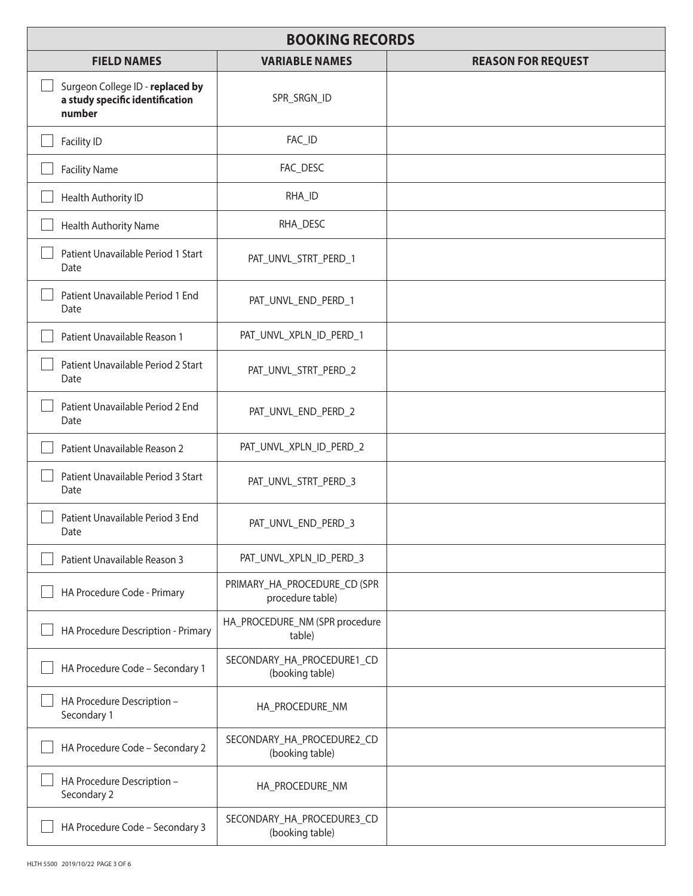| <b>BOOKING RECORDS</b>                                                        |                                                  |                           |
|-------------------------------------------------------------------------------|--------------------------------------------------|---------------------------|
| <b>FIELD NAMES</b>                                                            | <b>VARIABLE NAMES</b>                            | <b>REASON FOR REQUEST</b> |
| Surgeon College ID - replaced by<br>a study specific identification<br>number | SPR_SRGN_ID                                      |                           |
| Facility ID                                                                   | FAC_ID                                           |                           |
| <b>Facility Name</b>                                                          | FAC_DESC                                         |                           |
| Health Authority ID                                                           | RHA_ID                                           |                           |
| Health Authority Name                                                         | RHA_DESC                                         |                           |
| Patient Unavailable Period 1 Start<br>Date                                    | PAT_UNVL_STRT_PERD_1                             |                           |
| Patient Unavailable Period 1 End<br>Date                                      | PAT_UNVL_END_PERD_1                              |                           |
| Patient Unavailable Reason 1                                                  | PAT_UNVL_XPLN_ID_PERD_1                          |                           |
| Patient Unavailable Period 2 Start<br>Date                                    | PAT_UNVL_STRT_PERD_2                             |                           |
| Patient Unavailable Period 2 End<br>Date                                      | PAT_UNVL_END_PERD_2                              |                           |
| Patient Unavailable Reason 2                                                  | PAT_UNVL_XPLN_ID_PERD_2                          |                           |
| Patient Unavailable Period 3 Start<br>Date                                    | PAT_UNVL_STRT_PERD_3                             |                           |
| Patient Unavailable Period 3 End<br>Date                                      | PAT_UNVL_END_PERD_3                              |                           |
| Patient Unavailable Reason 3                                                  | PAT_UNVL_XPLN_ID_PERD_3                          |                           |
| HA Procedure Code - Primary                                                   | PRIMARY_HA_PROCEDURE_CD (SPR<br>procedure table) |                           |
| HA Procedure Description - Primary                                            | HA_PROCEDURE_NM (SPR procedure<br>table)         |                           |
| HA Procedure Code - Secondary 1                                               | SECONDARY_HA_PROCEDURE1_CD<br>(booking table)    |                           |
| HA Procedure Description -<br>Secondary 1                                     | HA_PROCEDURE_NM                                  |                           |
| HA Procedure Code - Secondary 2                                               | SECONDARY_HA_PROCEDURE2_CD<br>(booking table)    |                           |
| HA Procedure Description -<br>Secondary 2                                     | HA_PROCEDURE_NM                                  |                           |
| HA Procedure Code - Secondary 3                                               | SECONDARY_HA_PROCEDURE3_CD<br>(booking table)    |                           |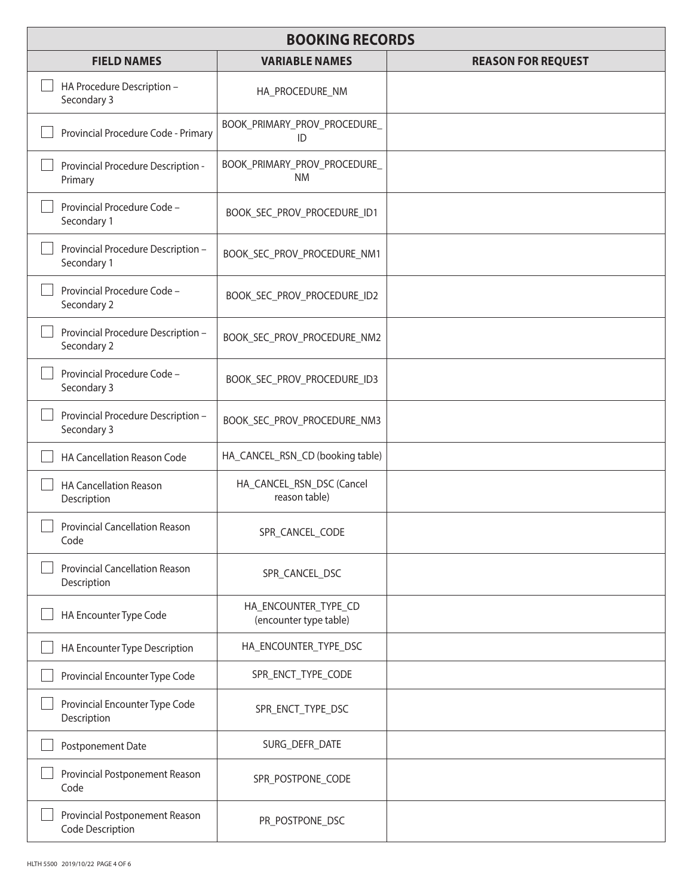| <b>BOOKING RECORDS</b>                               |                                                |                           |
|------------------------------------------------------|------------------------------------------------|---------------------------|
| <b>FIELD NAMES</b>                                   | <b>VARIABLE NAMES</b>                          | <b>REASON FOR REQUEST</b> |
| HA Procedure Description -<br>Secondary 3            | HA_PROCEDURE_NM                                |                           |
| Provincial Procedure Code - Primary                  | BOOK_PRIMARY_PROV_PROCEDURE_<br>ID             |                           |
| Provincial Procedure Description -<br>Primary        | BOOK_PRIMARY_PROV_PROCEDURE_<br><b>NM</b>      |                           |
| Provincial Procedure Code -<br>Secondary 1           | BOOK_SEC_PROV_PROCEDURE_ID1                    |                           |
| Provincial Procedure Description -<br>Secondary 1    | BOOK_SEC_PROV_PROCEDURE_NM1                    |                           |
| Provincial Procedure Code -<br>Secondary 2           | BOOK_SEC_PROV_PROCEDURE_ID2                    |                           |
| Provincial Procedure Description -<br>Secondary 2    | BOOK_SEC_PROV_PROCEDURE_NM2                    |                           |
| Provincial Procedure Code -<br>Secondary 3           | BOOK_SEC_PROV_PROCEDURE_ID3                    |                           |
| Provincial Procedure Description -<br>Secondary 3    | BOOK_SEC_PROV_PROCEDURE_NM3                    |                           |
| HA Cancellation Reason Code                          | HA_CANCEL_RSN_CD (booking table)               |                           |
| <b>HA Cancellation Reason</b><br>Description         | HA_CANCEL_RSN_DSC (Cancel<br>reason table)     |                           |
| <b>Provincial Cancellation Reason</b><br>Code        | SPR_CANCEL_CODE                                |                           |
| <b>Provincial Cancellation Reason</b><br>Description | SPR_CANCEL_DSC                                 |                           |
| HA Encounter Type Code                               | HA_ENCOUNTER_TYPE_CD<br>(encounter type table) |                           |
| HA Encounter Type Description                        | HA_ENCOUNTER_TYPE_DSC                          |                           |
| Provincial Encounter Type Code                       | SPR_ENCT_TYPE_CODE                             |                           |
| Provincial Encounter Type Code<br>Description        | SPR_ENCT_TYPE_DSC                              |                           |
| Postponement Date                                    | SURG_DEFR_DATE                                 |                           |
| Provincial Postponement Reason<br>Code               | SPR_POSTPONE_CODE                              |                           |
| Provincial Postponement Reason<br>Code Description   | PR_POSTPONE_DSC                                |                           |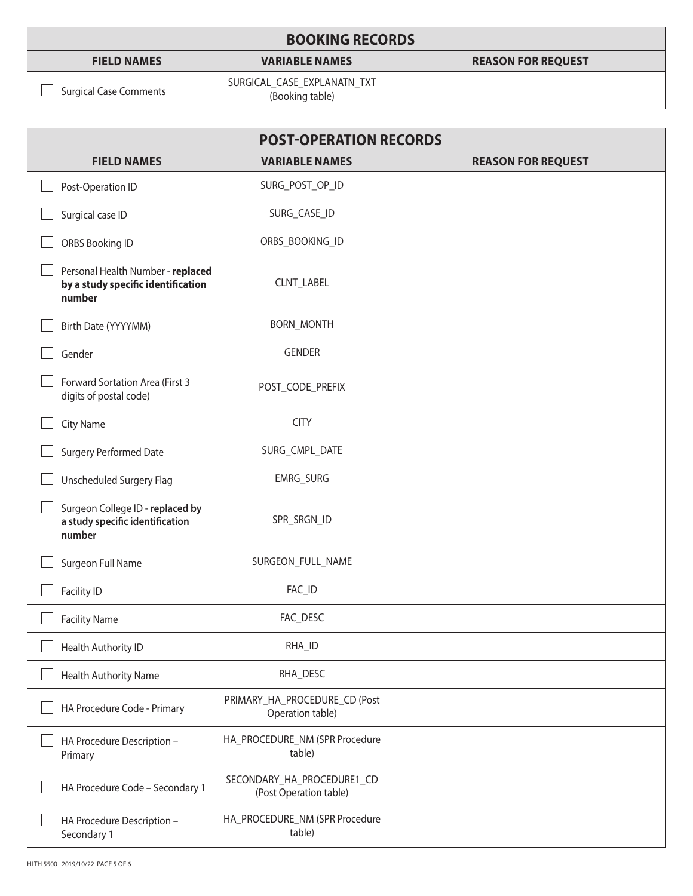| <b>BOOKING RECORDS</b>        |                                                |                           |
|-------------------------------|------------------------------------------------|---------------------------|
| <b>FIELD NAMES</b>            | <b>VARIABLE NAMES</b>                          | <b>REASON FOR REQUEST</b> |
| <b>Surgical Case Comments</b> | SURGICAL_CASE_EXPLANATN_TXT<br>(Booking table) |                           |

| <b>POST-OPERATION RECORDS</b>                                                     |                                                      |                           |
|-----------------------------------------------------------------------------------|------------------------------------------------------|---------------------------|
| <b>FIELD NAMES</b>                                                                | <b>VARIABLE NAMES</b>                                | <b>REASON FOR REQUEST</b> |
| Post-Operation ID                                                                 | SURG_POST_OP_ID                                      |                           |
| Surgical case ID                                                                  | SURG_CASE_ID                                         |                           |
| ORBS Booking ID                                                                   | ORBS_BOOKING_ID                                      |                           |
| Personal Health Number - replaced<br>by a study specific identification<br>number | CLNT_LABEL                                           |                           |
| Birth Date (YYYYMM)                                                               | <b>BORN_MONTH</b>                                    |                           |
| Gender                                                                            | <b>GENDER</b>                                        |                           |
| Forward Sortation Area (First 3<br>digits of postal code)                         | POST_CODE_PREFIX                                     |                           |
| City Name                                                                         | <b>CITY</b>                                          |                           |
| Surgery Performed Date                                                            | SURG_CMPL_DATE                                       |                           |
| Unscheduled Surgery Flag                                                          | EMRG_SURG                                            |                           |
| Surgeon College ID - replaced by<br>a study specific identification<br>number     | SPR_SRGN_ID                                          |                           |
| Surgeon Full Name                                                                 | SURGEON_FULL_NAME                                    |                           |
| Facility ID                                                                       | FAC_ID                                               |                           |
| <b>Facility Name</b>                                                              | FAC_DESC                                             |                           |
| Health Authority ID                                                               | RHA_ID                                               |                           |
| Health Authority Name                                                             | RHA_DESC                                             |                           |
| HA Procedure Code - Primary                                                       | PRIMARY_HA_PROCEDURE_CD (Post<br>Operation table)    |                           |
| HA Procedure Description -<br>Primary                                             | HA_PROCEDURE_NM (SPR Procedure<br>table)             |                           |
| HA Procedure Code - Secondary 1                                                   | SECONDARY_HA_PROCEDURE1_CD<br>(Post Operation table) |                           |
| HA Procedure Description -<br>Secondary 1                                         | HA_PROCEDURE_NM (SPR Procedure<br>table)             |                           |